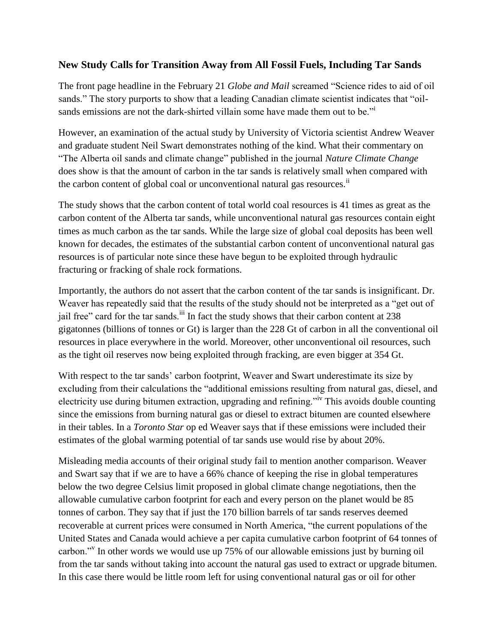## **New Study Calls for Transition Away from All Fossil Fuels, Including Tar Sands**

The front page headline in the February 21 *Globe and Mail* screamed "Science rides to aid of oil sands." The story purports to show that a leading Canadian climate scientist indicates that "oilsands emissions are not the dark-shirted villain some have made them out to be."

However, an examination of the actual study by University of Victoria scientist Andrew Weaver and graduate student Neil Swart demonstrates nothing of the kind. What their commentary on "The Alberta oil sands and climate change" published in the journal *Nature Climate Change* does show is that the amount of carbon in the tar sands is relatively small when compared with the carbon content of global coal or unconventional natural gas resources. $\ddot{a}$ 

The study shows that the carbon content of total world coal resources is 41 times as great as the carbon content of the Alberta tar sands, while unconventional natural gas resources contain eight times as much carbon as the tar sands. While the large size of global coal deposits has been well known for decades, the estimates of the substantial carbon content of unconventional natural gas resources is of particular note since these have begun to be exploited through hydraulic fracturing or fracking of shale rock formations.

Importantly, the authors do not assert that the carbon content of the tar sands is insignificant. Dr. Weaver has repeatedly said that the results of the study should not be interpreted as a "get out of jail free" card for the tar sands.<sup>iii</sup> In fact the study shows that their carbon content at 238 gigatonnes (billions of tonnes or Gt) is larger than the 228 Gt of carbon in all the conventional oil resources in place everywhere in the world. Moreover, other unconventional oil resources, such as the tight oil reserves now being exploited through fracking, are even bigger at 354 Gt.

With respect to the tar sands' carbon footprint, Weaver and Swart underestimate its size by excluding from their calculations the "additional emissions resulting from natural gas, diesel, and electricity use during bitumen extraction, upgrading and refining."iv This avoids double counting since the emissions from burning natural gas or diesel to extract bitumen are counted elsewhere in their tables. In a *Toronto Star* op ed Weaver says that if these emissions were included their estimates of the global warming potential of tar sands use would rise by about 20%.

Misleading media accounts of their original study fail to mention another comparison. Weaver and Swart say that if we are to have a 66% chance of keeping the rise in global temperatures below the two degree Celsius limit proposed in global climate change negotiations, then the allowable cumulative carbon footprint for each and every person on the planet would be 85 tonnes of carbon. They say that if just the 170 billion barrels of tar sands reserves deemed recoverable at current prices were consumed in North America, "the current populations of the United States and Canada would achieve a per capita cumulative carbon footprint of 64 tonnes of carbon."<sup>V</sup> In other words we would use up 75% of our allowable emissions just by burning oil from the tar sands without taking into account the natural gas used to extract or upgrade bitumen. In this case there would be little room left for using conventional natural gas or oil for other